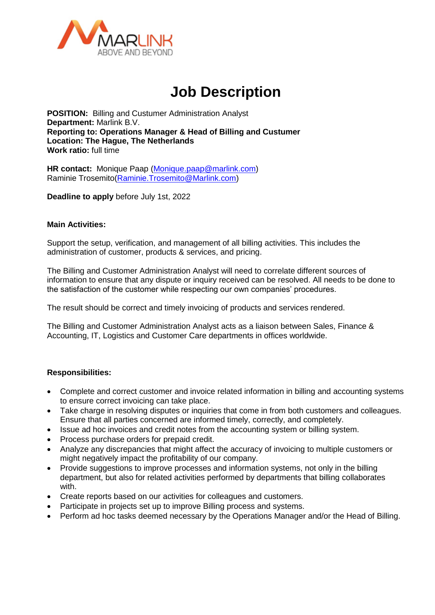

# **Job Description**

**POSITION:** Billing and Custumer Administration Analyst **Department:** Marlink B.V. **Reporting to: Operations Manager & Head of Billing and Custumer Location: The Hague, The Netherlands Work ratio:** full time

**HR contact:** Monique Paap [\(Monique.paap@marlink.com\)](mailto:Monique.paap@marlink.com) Raminie Trosemito[\(Raminie.Trosemito@Marlink.com\)](mailto:Raminie.Trosemito@Marlink.com)

**Deadline to apply** before July 1st, 2022

# **Main Activities:**

Support the setup, verification, and management of all billing activities. This includes the administration of customer, products & services, and pricing.

The Billing and Customer Administration Analyst will need to correlate different sources of information to ensure that any dispute or inquiry received can be resolved. All needs to be done to the satisfaction of the customer while respecting our own companies' procedures.

The result should be correct and timely invoicing of products and services rendered.

The Billing and Customer Administration Analyst acts as a liaison between Sales, Finance & Accounting, IT, Logistics and Customer Care departments in offices worldwide.

# **Responsibilities:**

- Complete and correct customer and invoice related information in billing and accounting systems to ensure correct invoicing can take place.
- Take charge in resolving disputes or inquiries that come in from both customers and colleagues. Ensure that all parties concerned are informed timely, correctly, and completely.
- Issue ad hoc invoices and credit notes from the accounting system or billing system.
- Process purchase orders for prepaid credit.
- Analyze any discrepancies that might affect the accuracy of invoicing to multiple customers or might negatively impact the profitability of our company.
- Provide suggestions to improve processes and information systems, not only in the billing department, but also for related activities performed by departments that billing collaborates with.
- Create reports based on our activities for colleagues and customers.
- Participate in projects set up to improve Billing process and systems.
- Perform ad hoc tasks deemed necessary by the Operations Manager and/or the Head of Billing.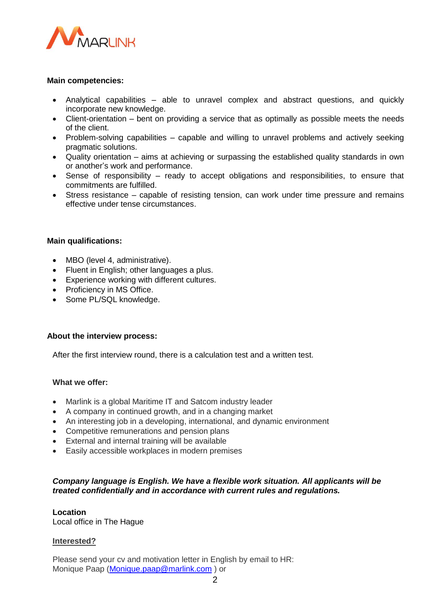

### **Main competencies:**

- Analytical capabilities able to unravel complex and abstract questions, and quickly incorporate new knowledge.
- Client-orientation bent on providing a service that as optimally as possible meets the needs of the client.
- Problem-solving capabilities capable and willing to unravel problems and actively seeking pragmatic solutions.
- Quality orientation aims at achieving or surpassing the established quality standards in own or another's work and performance.
- Sense of responsibility ready to accept obligations and responsibilities, to ensure that commitments are fulfilled.
- Stress resistance capable of resisting tension, can work under time pressure and remains effective under tense circumstances.

#### **Main qualifications:**

- MBO (level 4, administrative).
- Fluent in English; other languages a plus.
- Experience working with different cultures.
- Proficiency in MS Office.
- Some PL/SQL knowledge.

#### **About the interview process:**

After the first interview round, there is a calculation test and a written test.

#### **What we offer:**

- Marlink is a global Maritime IT and Satcom industry leader
- A company in continued growth, and in a changing market
- An interesting job in a developing, international, and dynamic environment
- Competitive remunerations and pension plans
- External and internal training will be available
- Easily accessible workplaces in modern premises

# *Company language is English. We have a flexible work situation. All applicants will be treated confidentially and in accordance with current rules and regulations.*

# **Location**

Local office in The Hague

#### **Interested?**

Please send your cv and motivation letter in English by email to HR: Monique Paap [\(Monique.paap@marlink.com](mailto:Monique.paap@marlink.com) ) or